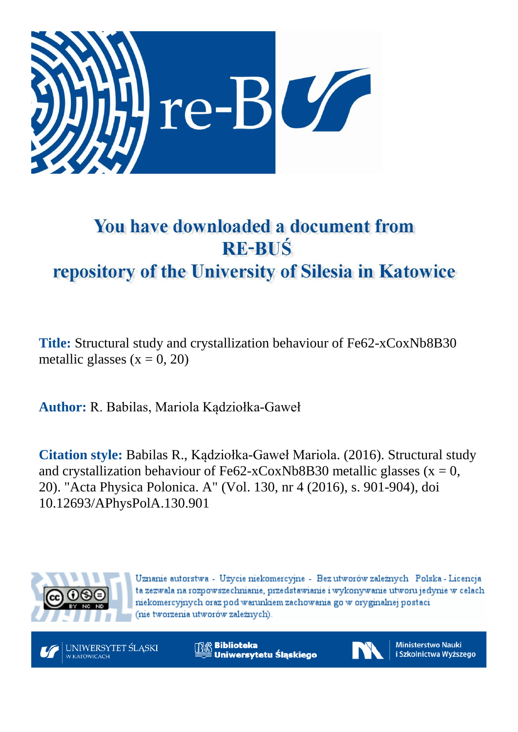

# You have downloaded a document from **RE-BUŚ** repository of the University of Silesia in Katowice

**Title:** Structural study and crystallization behaviour of Fe62-xCoxNb8B30 metallic glasses  $(x = 0, 20)$ 

**Author:** R. Babilas, Mariola Kądziołka-Gaweł

**Citation style:** Babilas R., Kądziołka-Gaweł Mariola. (2016). Structural study and crystallization behaviour of Fe62-xCoxNb8B30 metallic glasses ( $x = 0$ , 20). "Acta Physica Polonica. A" (Vol. 130, nr 4 (2016), s. 901-904), doi 10.12693/APhysPolA.130.901



Uznanie autorstwa - Użycie niekomercyjne - Bez utworów zależnych Polska - Licencja ta zezwala na rozpowszechnianie, przedstawianie i wykonywanie utworu jedynie w celach niekomercyjnych oraz pod warunkiem zachowania go w oryginalnej postaci (nie tworzenia utworów zależnych).



**Biblioteka** Uniwersytetu Śląskiego



**Ministerstwo Nauki** i Szkolnictwa Wyższego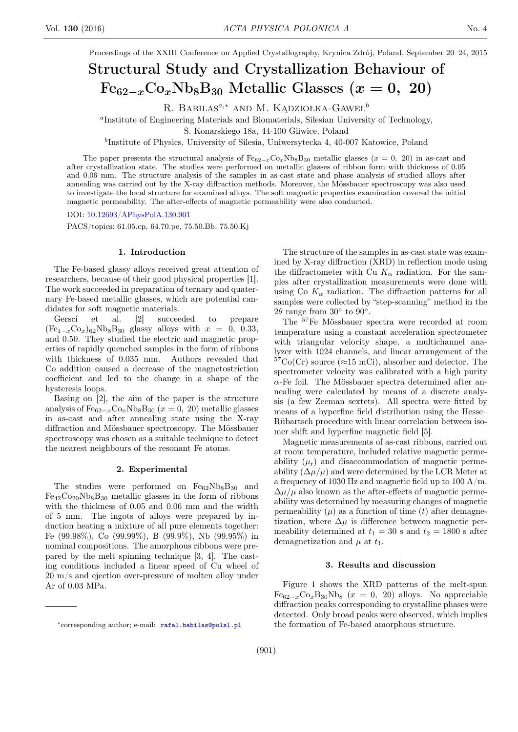Proceedings of the XXIII Conference on Applied Crystallography, Krynica Zdrój, Poland, September 20–24, 2015

# Structural Study and Crystallization Behaviour of  $Fe_{62-x}Co_xNb_8B_{30}$  Metallic Glasses  $(x = 0, 20)$

R. BABILAS<sup>a,∗</sup> AND M. KĄDZIOŁKA-GAWEŁ<sup>b</sup>

a Institute of Engineering Materials and Biomaterials, Silesian University of Technology,

S. Konarskiego 18a, 44-100 Gliwice, Poland

b Institute of Physics, University of Silesia, Uniwersytecka 4, 40-007 Katowice, Poland

The paper presents the structural analysis of  $Fe_{62-x}Co_xNb_8B_{30}$  metallic glasses (x = 0, 20) in as-cast and after crystallization state. The studies were performed on metallic glasses of ribbon form with thickness of 0.05 and 0.06 mm. The structure analysis of the samples in as-cast state and phase analysis of studied alloys after annealing was carried out by the X-ray diffraction methods. Moreover, the Mössbauer spectroscopy was also used to investigate the local structure for examined alloys. The soft magnetic properties examination covered the initial magnetic permeability. The after-effects of magnetic permeability were also conducted.

DOI: [10.12693/APhysPolA.130.901](http://doi.org/10.12693/APhysPolA.130.901)

PACS/topics: 61.05.cp, 64.70.pe, 75.50.Bb, 75.50.Kj

#### 1. Introduction

The Fe-based glassy alloys received great attention of researchers, because of their good physical properties [1]. The work succeeded in preparation of ternary and quaternary Fe-based metallic glasses, which are potential candidates for soft magnetic materials.

Gersci et al. [2] succeeded to prepare  $(Fe_{1-x}Co_x)_{62}Nb_8B_{30}$  glassy alloys with  $x = 0$ , 0.33, and 0.50. They studied the electric and magnetic properties of rapidly quenched samples in the form of ribbons with thickness of 0.035 mm. Authors revealed that Co addition caused a decrease of the magnetostriction coefficient and led to the change in a shape of the hysteresis loops.

Basing on [2], the aim of the paper is the structure analysis of  $Fe_{62-x}Co_xNb_8B_{30}$  ( $x=0, 20$ ) metallic glasses in as-cast and after annealing state using the X-ray diffraction and Mössbauer spectroscopy. The Mössbauer spectroscopy was chosen as a suitable technique to detect the nearest neighbours of the resonant Fe atoms.

#### 2. Experimental

The studies were performed on  $Fe_{62}Nb_8B_{30}$  and  $Fe_{42}Co_{20}Nb_8B_{30}$  metallic glasses in the form of ribbons with the thickness of 0.05 and 0.06 mm and the width of 5 mm. The ingots of alloys were prepared by induction heating a mixture of all pure elements together: Fe (99.98%), Co (99.99%), B (99.9%), Nb (99.95%) in nominal compositions. The amorphous ribbons were prepared by the melt spinning technique [3, 4]. The casting conditions included a linear speed of Cu wheel of 20 m/s and ejection over-pressure of molten alloy under Ar of 0.03 MPa.

The structure of the samples in as-cast state was examined by X-ray diffraction (XRD) in reflection mode using the diffractometer with Cu  $K_{\alpha}$  radiation. For the samples after crystallization measurements were done with using Co  $K_{\alpha}$  radiation. The diffraction patterns for all samples were collected by "step-scanning" method in the  $2\theta$  range from  $30^{\circ}$  to  $90^{\circ}$ .

The <sup>57</sup>Fe Mössbauer spectra were recorded at room temperature using a constant acceleration spectrometer with triangular velocity shape, a multichannel analyzer with 1024 channels, and linear arrangement of the  ${}^{57}Co(Cr)$  source ( $\approx$ 15 mCi), absorber and detector. The spectrometer velocity was calibrated with a high purity  $\alpha$ -Fe foil. The Mössbauer spectra determined after annealing were calculated by means of a discrete analysis (a few Zeeman sextets). All spectra were fitted by means of a hyperfine field distribution using the Hesse– Rübartsch procedure with linear correlation between isomer shift and hyperfine magnetic field [5].

Magnetic measurements of as-cast ribbons, carried out at room temperature, included relative magnetic permeability  $(\mu_r)$  and disaccommodation of magnetic permeability  $(\Delta \mu / \mu)$  and were determined by the LCR Meter at a frequency of 1030 Hz and magnetic field up to 100 A/m.  $\Delta\mu/\mu$  also known as the after-effects of magnetic permeability was determined by measuring changes of magnetic permeability  $(\mu)$  as a function of time  $(t)$  after demagnetization, where  $\Delta \mu$  is difference between magnetic permeability determined at  $t_1 = 30$  s and  $t_2 = 1800$  s after demagnetization and  $\mu$  at  $t_1$ .

#### 3. Results and discussion

Figure 1 shows the XRD patterns of the melt-spun  $Fe_{62-x}Co_xB_{30}Nb_8$  ( $x=0$ , 20) alloys. No appreciable diffraction peaks corresponding to crystalline phases were detected. Only broad peaks were observed, which implies the formation of Fe-based amorphous structure.

<sup>∗</sup>corresponding author; e-mail: [rafal.babilas@polsl.pl](mailto:rafal.babilas@polsl.pl)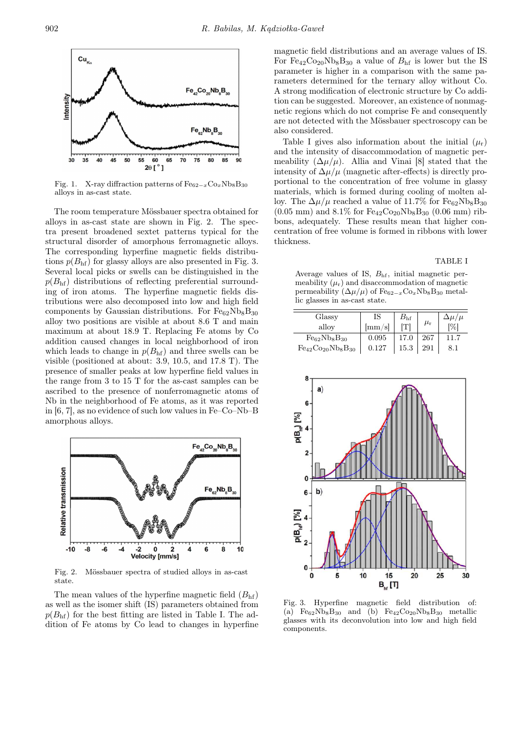

Fig. 1. X-ray diffraction patterns of  $\mathrm{Fe_{62-x}Co_{x}Nb_{8}B_{30}}$ alloys in as-cast state.

The room temperature Mössbauer spectra obtained for alloys in as-cast state are shown in Fig. 2. The spectra present broadened sextet patterns typical for the structural disorder of amorphous ferromagnetic alloys. The corresponding hyperfine magnetic fields distributions  $p(B<sub>hf</sub>)$  for glassy alloys are also presented in Fig. 3. Several local picks or swells can be distinguished in the  $p(B<sub>hf</sub>)$  distributions of reflecting preferential surrounding of iron atoms. The hyperfine magnetic fields distributions were also decomposed into low and high field components by Gaussian distributions. For  $Fe_{62}Nb_8B_{30}$ alloy two positions are visible at about 8.6 T and main maximum at about 18.9 T. Replacing Fe atoms by Co addition caused changes in local neighborhood of iron which leads to change in  $p(B<sub>hf</sub>)$  and three swells can be visible (positioned at about: 3.9, 10.5, and 17.8 T). The presence of smaller peaks at low hyperfine field values in the range from 3 to 15 T for the as-cast samples can be ascribed to the presence of nonferromagnetic atoms of Nb in the neighborhood of Fe atoms, as it was reported in [6, 7], as no evidence of such low values in Fe–Co–Nb–B amorphous alloys.



Fig. 2. Mössbauer spectra of studied alloys in as-cast state.

The mean values of the hyperfine magnetic field  $(B<sub>hf</sub>)$ as well as the isomer shift (IS) parameters obtained from  $p(B<sub>hf</sub>)$  for the best fitting are listed in Table I. The addition of Fe atoms by Co lead to changes in hyperfine

magnetic field distributions and an average values of IS. For  $Fe_{42}Co_{20}Nb_8B_{30}$  a value of  $B_{hf}$  is lower but the IS parameter is higher in a comparison with the same parameters determined for the ternary alloy without Co. A strong modification of electronic structure by Co addition can be suggested. Moreover, an existence of nonmagnetic regions which do not comprise Fe and consequently are not detected with the Mössbauer spectroscopy can be also considered.

Table I gives also information about the initial  $(\mu_r)$ and the intensity of disaccommodation of magnetic permeability  $(\Delta \mu/\mu)$ . Allia and Vinai [8] stated that the intensity of  $\Delta \mu / \mu$  (magnetic after-effects) is directly proportional to the concentration of free volume in glassy materials, which is formed during cooling of molten alloy. The  $\Delta \mu / \mu$  reached a value of 11.7% for Fe<sub>62</sub>Nb<sub>8</sub>B<sub>30</sub>  $(0.05 \text{ mm})$  and  $8.1\%$  for  $\text{Fe}_{42}\text{Co}_{20}\text{Nb}_{8}\text{B}_{30}$   $(0.06 \text{ mm})$  ribbons, adequately. These results mean that higher concentration of free volume is formed in ribbons with lower thickness.

TABLE I

Average values of IS, Bhf, initial magnetic permeability  $(\mu_r)$  and disaccommodation of magnetic permeability  $(\Delta \mu / \mu)$  of Fe<sub>62−x</sub>Co<sub>x</sub>Nb<sub>8</sub>B<sub>30</sub> metallic glasses in as-cast state.

| Glassy                     | IS                        | $B_{\rm hf}$ |               | $\Delta \mu / \mu$ |
|----------------------------|---------------------------|--------------|---------------|--------------------|
| alloy                      | $\vert \text{mm/s} \vert$ | ſΤl          | $\mu_{\rm r}$ | l%l                |
| $Fe_{62}Nb_8B_{30}$        | 0.095                     | 17.0         | 267           | 11.7               |
| $Fe_{42}Co_{20}Nb_8B_{30}$ | 0.127                     | 15.3         | 291           |                    |



Fig. 3. Hyperfine magnetic field distribution of: (a)  $Fe_{62}Nb_8B_{30}$  and (b)  $Fe_{42}Co_{20}Nb_8B_{30}$  metallic glasses with its deconvolution into low and high field components.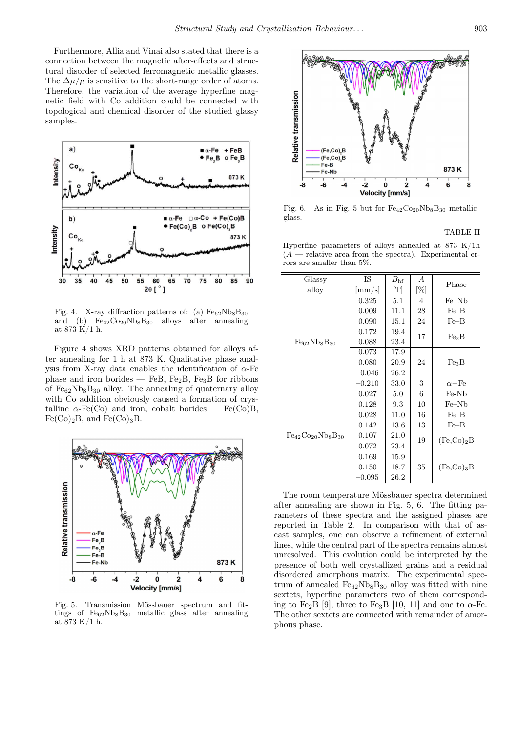Furthermore, Allia and Vinai also stated that there is a connection between the magnetic after-effects and structural disorder of selected ferromagnetic metallic glasses. The  $\Delta \mu / \mu$  is sensitive to the short-range order of atoms. Therefore, the variation of the average hyperfine magnetic field with Co addition could be connected with topological and chemical disorder of the studied glassy samples.



Fig. 4. X-ray diffraction patterns of: (a)  $Fe_{62}Nb_8B_{30}$ and (b)  $Fe_{42}Co_{20}Nb_8B_{30}$  alloys after annealing at  $873 \text{ K}/1 \text{ h}$ .

Figure 4 shows XRD patterns obtained for alloys after annealing for 1 h at 873 K. Qualitative phase analysis from X-ray data enables the identification of  $\alpha$ -Fe phase and iron borides — FeB, Fe<sub>2</sub>B, Fe<sub>3</sub>B for ribbons of  $Fe_{62}Nb_8B_{30}$  alloy. The annealing of quaternary alloy with Co addition obviously caused a formation of crystalline  $\alpha$ -Fe(Co) and iron, cobalt borides — Fe(Co)B,  $Fe(Co)_2B$ , and  $Fe(Co)_3B$ .



Fig. 5. Transmission Mössbauer spectrum and fittings of  $Fe_{62}Nb_8B_{30}$  metallic glass after annealing at 873 K/1 h.



Fig. 6. As in Fig. 5 but for  $Fe_{42}Co_{20}Nb_8B_{30}$  metallic glass.

### TABLE II

Hyperfine parameters of alloys annealed at 873 K/1h  $(A -$  relative area from the spectra). Experimental errors are smaller than 5%.

| Glassy                     | IS       | $B_{\rm hf}$               | А              | Phase             |
|----------------------------|----------|----------------------------|----------------|-------------------|
| alloy                      | mm/s     | $\lceil \mathrm{T} \rceil$ | $[\%]$         |                   |
| $Fe_{62}Nb_8B_{30}$        | 0.325    | 5.1                        | $\overline{4}$ | $Fe-Nb$           |
|                            | 0.009    | 11.1                       | 28             | $Fe-B$            |
|                            | 0.090    | 15.1                       | 24             | $Fe-B$            |
|                            | 0.172    | 19.4                       | 17             | Fe <sub>2</sub> B |
|                            | 0.088    | 23.4                       |                |                   |
|                            | 0.073    | 17.9                       |                |                   |
|                            | 0.080    | 20.9                       | 24             | Fe <sub>3</sub> B |
|                            | $-0.046$ | 26.2                       |                |                   |
|                            | $-0.210$ | 33.0                       | 3              | $\alpha$ -Fe      |
| $Fe_{42}Co_{20}Nb_8B_{30}$ | 0.027    | 5.0                        | 6              | Fe-Nb             |
|                            | 0.128    | 9.3                        | 10             | $Fe-Nb$           |
|                            | 0.028    | 11.0                       | 16             | $Fe-B$            |
|                            | 0.142    | 13.6                       | 13             | $Fe-B$            |
|                            | 0.107    | 21.0                       | 19             | $(Fe, Co)_2B$     |
|                            | 0.072    | 23.4                       |                |                   |
|                            | 0.169    | 15.9                       |                |                   |
|                            | 0.150    | 18.7                       | 35             | $(Fe, Co)_3B$     |
|                            | $-0.095$ | 26.2                       |                |                   |

The room temperature Mössbauer spectra determined after annealing are shown in Fig. 5, 6. The fitting parameters of these spectra and the assigned phases are reported in Table 2. In comparison with that of ascast samples, one can observe a refinement of external lines, while the central part of the spectra remains almost unresolved. This evolution could be interpreted by the presence of both well crystallized grains and a residual disordered amorphous matrix. The experimental spectrum of annealed  $Fe_{62}Nb_8B_{30}$  alloy was fitted with nine sextets, hyperfine parameters two of them corresponding to Fe<sub>2</sub>B [9], three to Fe<sub>3</sub>B [10, 11] and one to  $\alpha$ -Fe. The other sextets are connected with remainder of amorphous phase.